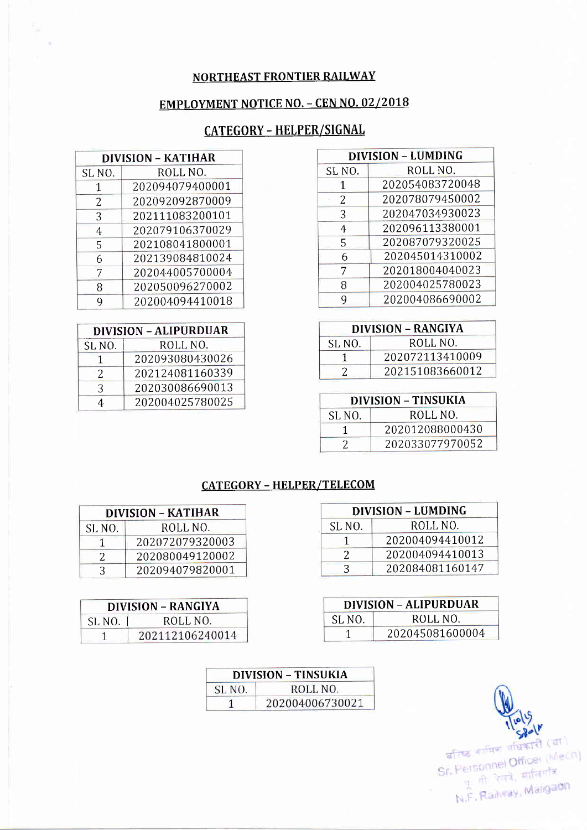## NORTHEAST FRONTIER RAILWAY

## **EMPLOYMENT NOTICE NO. - CEN NO. 02/2018**

## CATEGORY - HELPER/SIGNAL

| <b>DIVISION - LUMDING</b> |                 |  |
|---------------------------|-----------------|--|
| SL <sub>NO.</sub>         | ROLL NO.        |  |
| 1                         | 202054083720048 |  |
| 2                         | 202078079450002 |  |
| 3                         | 202047034930023 |  |
| 4                         | 202096113380001 |  |
| 5                         | 202087079320025 |  |
| 6                         | 202045014310002 |  |
| 7                         | 202018004040023 |  |
| 8                         | 202004025780023 |  |
| q                         | 202004086690002 |  |

| <b>DIVISION - RANGIYA</b> |                 |  |
|---------------------------|-----------------|--|
| SL <sub>NO</sub> .        | ROLL NO.        |  |
|                           | 202072113410009 |  |
|                           | 202151083660012 |  |

| <b>DIVISION – TINSUKIA</b> |                 |  |
|----------------------------|-----------------|--|
| SL NO.                     | ROLL NO.        |  |
|                            | 202012088000430 |  |
|                            | 202033077970052 |  |

| DIVISION – KATIHAR |                 |  |
|--------------------|-----------------|--|
| SLNO.              | ROLL NO.        |  |
| 1                  | 202094079400001 |  |
| 2                  | 202092092870009 |  |
| 3                  | 202111083200101 |  |
| 4                  | 202079106370029 |  |
| 5                  | 202108041800001 |  |
| 6                  | 202139084810024 |  |
|                    | 202044005700004 |  |
| 8                  | 202050096270002 |  |
|                    | 202004094410018 |  |

| <b>DIVISION - ALIPURDUAR</b> |                 |  |
|------------------------------|-----------------|--|
| SL <sub>NO</sub> .           | ROLL NO.        |  |
|                              | 202093080430026 |  |
| 2                            | 202124081160339 |  |
| 3                            | 202030086690013 |  |
|                              | 202004025780025 |  |

## CATEGORY - HELPER/TELECOM

| <b>DIVISION - LUMDING</b> |                 |  |
|---------------------------|-----------------|--|
| SL <sub>NO</sub> .        | ROLL NO.        |  |
|                           | 202004094410012 |  |
| 7                         | 202004094410013 |  |
|                           | 202084081160147 |  |

| <b>DIVISION - ALIPURDUAR</b> |                 |  |
|------------------------------|-----------------|--|
| SL <sub>NO</sub> .           | ROLL NO.        |  |
|                              | 202045081600004 |  |

| <b>DIVISION - KATIHAR</b> |                 |  |
|---------------------------|-----------------|--|
| SL NO.                    | ROLL NO.        |  |
|                           | 202072079320003 |  |
|                           | 202080049120002 |  |
| ₹                         | 202094079820001 |  |

| <b>DIVISION - RANGIYA</b> |                 |
|---------------------------|-----------------|
| SL <sub>NO</sub> .        | ROLL NO.        |
|                           | 202112106240014 |

| DIVISION – TINSUKIA |                 |
|---------------------|-----------------|
| SL NO.              | ROLL NO.        |
|                     | 202004006730021 |